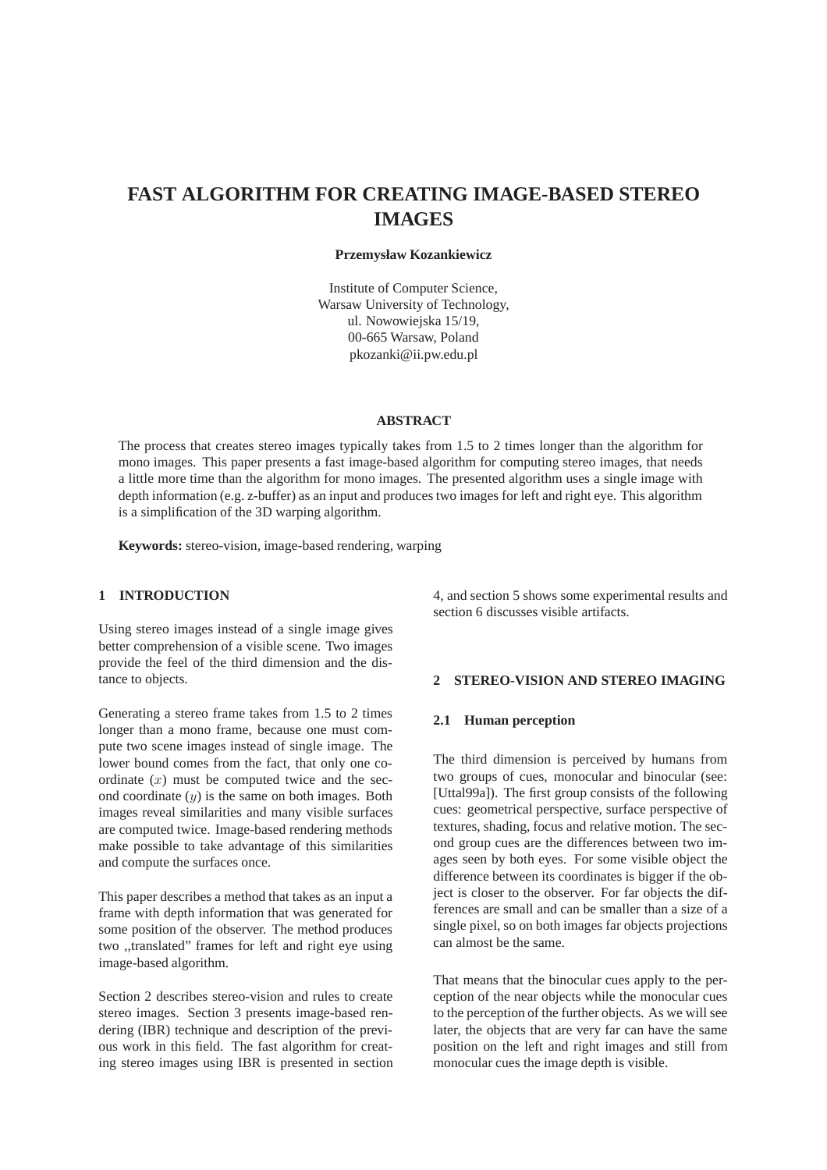# **FAST ALGORITHM FOR CREATING IMAGE-BASED STEREO IMAGES**

### **Przemysław Kozankiewicz**

Institute of Computer Science, Warsaw University of Technology, ul. Nowowiejska 15/19, 00-665 Warsaw, Poland pkozanki@ii.pw.edu.pl

## **ABSTRACT**

The process that creates stereo images typically takes from 1.5 to 2 times longer than the algorithm for mono images. This paper presents a fast image-based algorithm for computing stereo images, that needs a little more time than the algorithm for mono images. The presented algorithm uses a single image with depth information (e.g. z-buffer) as an input and produces two images for left and right eye. This algorithm is a simplification of the 3D warping algorithm.

**Keywords:** stereo-vision, image-based rendering, warping

# **1 INTRODUCTION**

Using stereo images instead of a single image gives better comprehension of a visible scene. Two images provide the feel of the third dimension and the distance to objects.

Generating a stereo frame takes from 1.5 to 2 times longer than a mono frame, because one must compute two scene images instead of single image. The lower bound comes from the fact, that only one coordinate  $(x)$  must be computed twice and the second coordinate  $(y)$  is the same on both images. Both images reveal similarities and many visible surfaces are computed twice. Image-based rendering methods make possible to take advantage of this similarities and compute the surfaces once.

This paper describes a method that takes as an input a frame with depth information that was generated for some position of the observer. The method produces two ,,translated" frames for left and right eye using image-based algorithm.

Section 2 describes stereo-vision and rules to create stereo images. Section 3 presents image-based rendering (IBR) technique and description of the previous work in this field. The fast algorithm for creating stereo images using IBR is presented in section 4, and section 5 shows some experimental results and section 6 discusses visible artifacts.

## **2 STEREO-VISION AND STEREO IMAGING**

#### **2.1 Human perception**

The third dimension is perceived by humans from two groups of cues, monocular and binocular (see: [Uttal99a]). The first group consists of the following cues: geometrical perspective, surface perspective of textures, shading, focus and relative motion. The second group cues are the differences between two images seen by both eyes. For some visible object the difference between its coordinates is bigger if the object is closer to the observer. For far objects the differences are small and can be smaller than a size of a single pixel, so on both images far objects projections can almost be the same.

That means that the binocular cues apply to the perception of the near objects while the monocular cues to the perception of the further objects. As we will see later, the objects that are very far can have the same position on the left and right images and still from monocular cues the image depth is visible.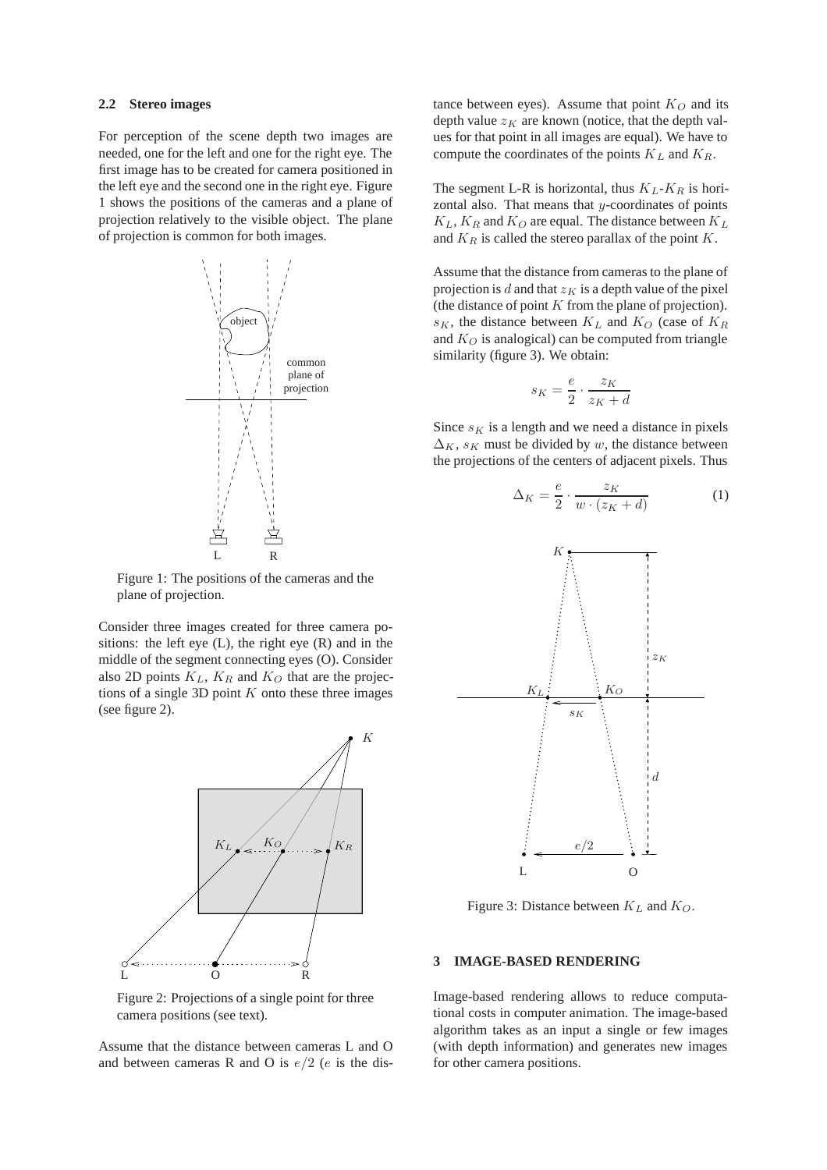#### **2.2 Stereo images**

For perception of the scene depth two images are needed, one for the left and one for the right eye. The first image has to be created for camera positioned in the left eye and the second one in the right eye. Figure 1 shows the positions of the cameras and a plane of projection relatively to the visible object. The plane of projection is common for both images.



Figure 1: The positions of the cameras and the plane of projection.

Consider three images created for three camera positions: the left eye  $(L)$ , the right eye  $(R)$  and in the middle of the segment connecting eyes (O). Consider also 2D points  $K_L$ ,  $K_R$  and  $K_Q$  that are the projections of a single 3D point  $K$  onto these three images (see figure 2).



Figure 2: Projections of a single point for three camera positions (see text).

Assume that the distance between cameras L and O and between cameras R and O is  $e/2$  (e is the distance between eyes). Assume that point  $K_Q$  and its depth value  $z_K$  are known (notice, that the depth values for that point in all images are equal). We have to compute the coordinates of the points K*<sup>L</sup>* and K*R*.

The segment L-R is horizontal, thus  $K_L$ - $K_R$  is horizontal also. That means that  $y$ -coordinates of points  $K_L$ ,  $K_R$  and  $K_Q$  are equal. The distance between  $K_L$ and  $K_R$  is called the stereo parallax of the point  $K$ .

Assume that the distance from cameras to the plane of projection is  $d$  and that  $z_K$  is a depth value of the pixel (the distance of point  $K$  from the plane of projection).  $s_K$ , the distance between  $K_L$  and  $K_O$  (case of  $K_R$ and  $K_Q$  is analogical) can be computed from triangle similarity (figure 3). We obtain:

$$
s_K = \frac{e}{2} \cdot \frac{z_K}{z_K + d}
$$

Since  $s_K$  is a length and we need a distance in pixels  $\Delta_K$ ,  $s_K$  must be divided by w, the distance between the projections of the centers of adjacent pixels. Thus

$$
\Delta_K = \frac{e}{2} \cdot \frac{z_K}{w \cdot (z_K + d)}\tag{1}
$$



Figure 3: Distance between K*<sup>L</sup>* and K*O*.

#### **3 IMAGE-BASED RENDERING**

Image-based rendering allows to reduce computational costs in computer animation. The image-based algorithm takes as an input a single or few images (with depth information) and generates new images for other camera positions.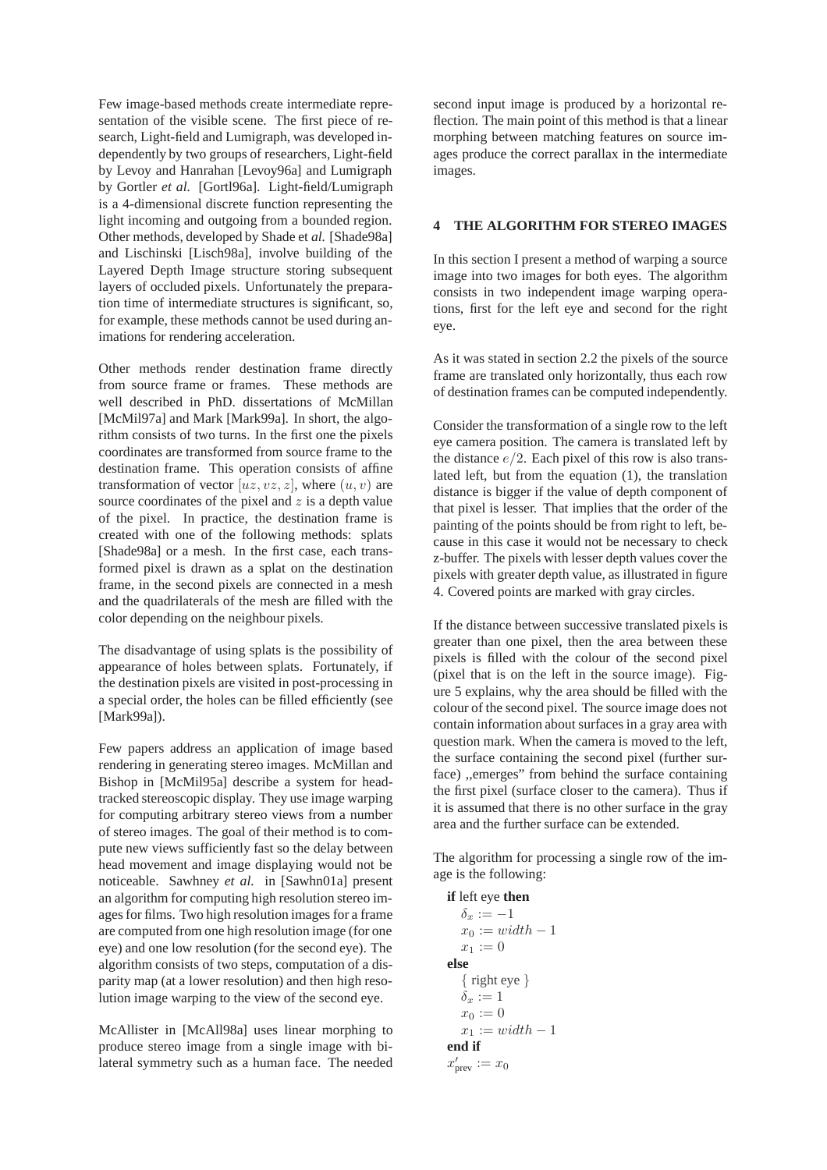Few image-based methods create intermediate representation of the visible scene. The first piece of research, Light-field and Lumigraph, was developed independently by two groups of researchers, Light-field by Levoy and Hanrahan [Levoy96a] and Lumigraph by Gortler *et al.* [Gortl96a]. Light-field/Lumigraph is a 4-dimensional discrete function representing the light incoming and outgoing from a bounded region. Other methods, developed by Shade et *al.* [Shade98a] and Lischinski [Lisch98a], involve building of the Layered Depth Image structure storing subsequent layers of occluded pixels. Unfortunately the preparation time of intermediate structures is significant, so, for example, these methods cannot be used during animations for rendering acceleration.

Other methods render destination frame directly from source frame or frames. These methods are well described in PhD. dissertations of McMillan [McMil97a] and Mark [Mark99a]. In short, the algorithm consists of two turns. In the first one the pixels coordinates are transformed from source frame to the destination frame. This operation consists of affine transformation of vector  $[uz, vz, z]$ , where  $(u, v)$  are source coordinates of the pixel and  $z$  is a depth value of the pixel. In practice, the destination frame is created with one of the following methods: splats [Shade98a] or a mesh. In the first case, each transformed pixel is drawn as a splat on the destination frame, in the second pixels are connected in a mesh and the quadrilaterals of the mesh are filled with the color depending on the neighbour pixels.

The disadvantage of using splats is the possibility of appearance of holes between splats. Fortunately, if the destination pixels are visited in post-processing in a special order, the holes can be filled efficiently (see [Mark99a]).

Few papers address an application of image based rendering in generating stereo images. McMillan and Bishop in [McMil95a] describe a system for headtracked stereoscopic display. They use image warping for computing arbitrary stereo views from a number of stereo images. The goal of their method is to compute new views sufficiently fast so the delay between head movement and image displaying would not be noticeable. Sawhney *et al.* in [Sawhn01a] present an algorithm for computing high resolution stereo images for films. Two high resolution images for a frame are computed from one high resolution image (for one eye) and one low resolution (for the second eye). The algorithm consists of two steps, computation of a disparity map (at a lower resolution) and then high resolution image warping to the view of the second eye.

McAllister in [McAll98a] uses linear morphing to produce stereo image from a single image with bilateral symmetry such as a human face. The needed second input image is produced by a horizontal reflection. The main point of this method is that a linear morphing between matching features on source images produce the correct parallax in the intermediate images.

#### **4 THE ALGORITHM FOR STEREO IMAGES**

In this section I present a method of warping a source image into two images for both eyes. The algorithm consists in two independent image warping operations, first for the left eye and second for the right eye.

As it was stated in section 2.2 the pixels of the source frame are translated only horizontally, thus each row of destination frames can be computed independently.

Consider the transformation of a single row to the left eye camera position. The camera is translated left by the distance  $e/2$ . Each pixel of this row is also translated left, but from the equation (1), the translation distance is bigger if the value of depth component of that pixel is lesser. That implies that the order of the painting of the points should be from right to left, because in this case it would not be necessary to check z-buffer. The pixels with lesser depth values cover the pixels with greater depth value, as illustrated in figure 4. Covered points are marked with gray circles.

If the distance between successive translated pixels is greater than one pixel, then the area between these pixels is filled with the colour of the second pixel (pixel that is on the left in the source image). Figure 5 explains, why the area should be filled with the colour of the second pixel. The source image does not contain information about surfaces in a gray area with question mark. When the camera is moved to the left, the surface containing the second pixel (further surface) ,,emerges" from behind the surface containing the first pixel (surface closer to the camera). Thus if it is assumed that there is no other surface in the gray area and the further surface can be extended.

The algorithm for processing a single row of the image is the following:

```
if left eye then
  \delta_x := -1x_0 := width - 1x_1 := 0else
  { right eye }
  \delta_x := 1x_0 := 0x_1 := width - 1end if
x'_{\text{prev}} := x_0
```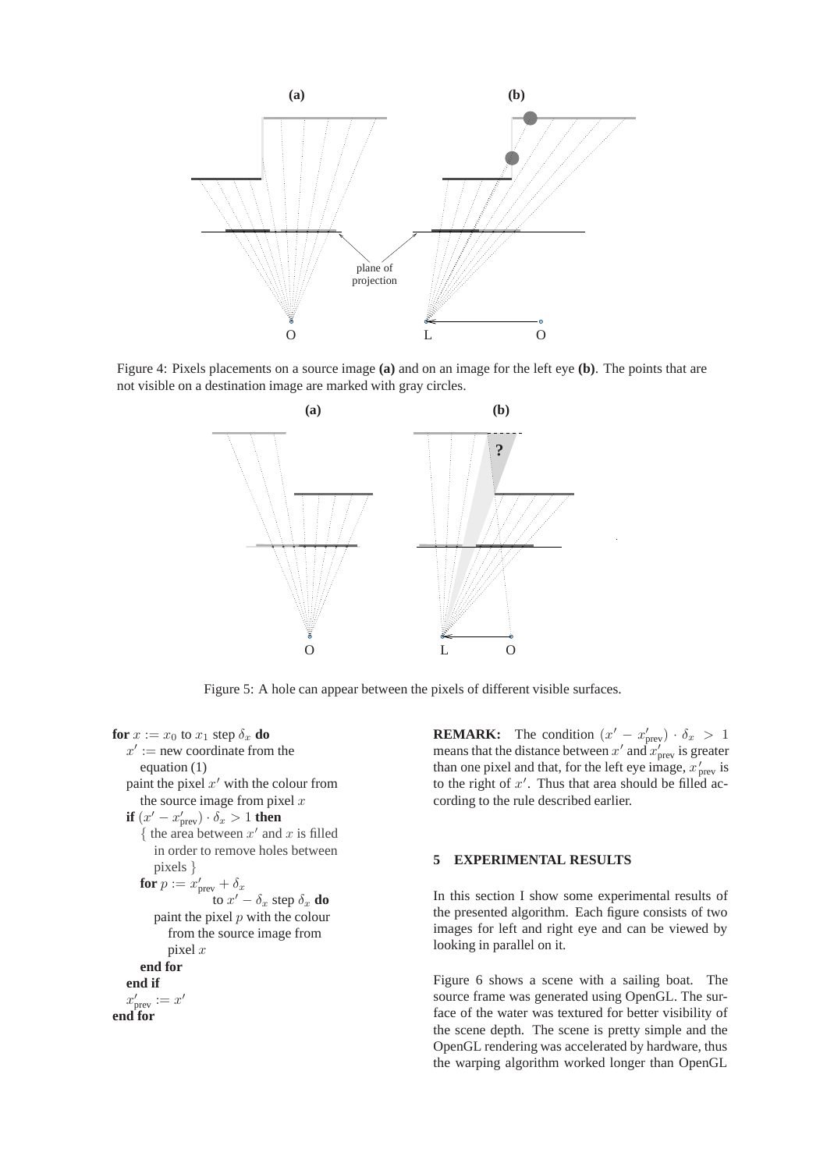

Figure 4: Pixels placements on a source image **(a)** and on an image for the left eye **(b)**. The points that are not visible on a destination image are marked with gray circles.



Figure 5: A hole can appear between the pixels of different visible surfaces.

**for**  $x := x_0$  to  $x_1$  step  $\delta_x$  **do**  $x' :=$  new coordinate from the equation (1) paint the pixel  $x'$  with the colour from the source image from pixel  $x$ **if**  $(x' - x'_{\text{prev}}) \cdot \delta_x > 1$  **then**  $\{$  the area between  $x'$  and  $x$  is filled in order to remove holes between pixels *}* **for**  $p := x'_{\text{prev}} + \delta_x$ to  $x' - \delta_x$  step  $\delta_x$  **do** paint the pixel  $p$  with the colour from the source image from pixel  $x$ **end for end if**  $x'_{\text{prev}} := x'$ **end for**

**REMARK:** The condition  $(x' - x'_{\text{prev}}) \cdot \delta_x > 1$ means that the distance between  $x'$  and  $x'_{\text{prev}}$  is greater than one pixel and that, for the left eye image,  $x'_{\text{prev}}$  is to the right of  $x'$ . Thus that area should be filled according to the rule described earlier.

# **5 EXPERIMENTAL RESULTS**

In this section I show some experimental results of the presented algorithm. Each figure consists of two images for left and right eye and can be viewed by looking in parallel on it.

Figure 6 shows a scene with a sailing boat. The source frame was generated using OpenGL. The surface of the water was textured for better visibility of the scene depth. The scene is pretty simple and the OpenGL rendering was accelerated by hardware, thus the warping algorithm worked longer than OpenGL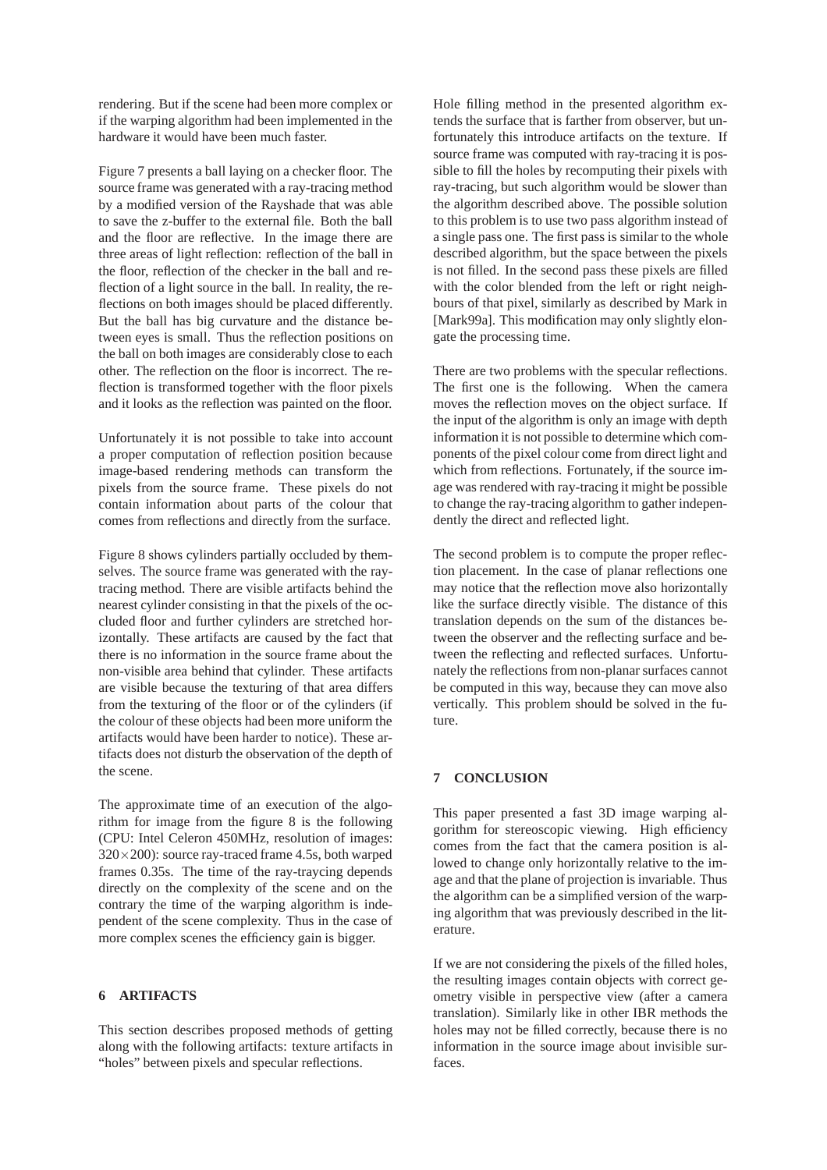rendering. But if the scene had been more complex or if the warping algorithm had been implemented in the hardware it would have been much faster.

Figure 7 presents a ball laying on a checker floor. The source frame was generated with a ray-tracing method by a modified version of the Rayshade that was able to save the z-buffer to the external file. Both the ball and the floor are reflective. In the image there are three areas of light reflection: reflection of the ball in the floor, reflection of the checker in the ball and reflection of a light source in the ball. In reality, the reflections on both images should be placed differently. But the ball has big curvature and the distance between eyes is small. Thus the reflection positions on the ball on both images are considerably close to each other. The reflection on the floor is incorrect. The reflection is transformed together with the floor pixels and it looks as the reflection was painted on the floor.

Unfortunately it is not possible to take into account a proper computation of reflection position because image-based rendering methods can transform the pixels from the source frame. These pixels do not contain information about parts of the colour that comes from reflections and directly from the surface.

Figure 8 shows cylinders partially occluded by themselves. The source frame was generated with the raytracing method. There are visible artifacts behind the nearest cylinder consisting in that the pixels of the occluded floor and further cylinders are stretched horizontally. These artifacts are caused by the fact that there is no information in the source frame about the non-visible area behind that cylinder. These artifacts are visible because the texturing of that area differs from the texturing of the floor or of the cylinders (if the colour of these objects had been more uniform the artifacts would have been harder to notice). These artifacts does not disturb the observation of the depth of the scene.

The approximate time of an execution of the algorithm for image from the figure 8 is the following (CPU: Intel Celeron 450MHz, resolution of images: 320*×*200): source ray-traced frame 4.5s, both warped frames 0.35s. The time of the ray-traycing depends directly on the complexity of the scene and on the contrary the time of the warping algorithm is independent of the scene complexity. Thus in the case of more complex scenes the efficiency gain is bigger.

# **6 ARTIFACTS**

This section describes proposed methods of getting along with the following artifacts: texture artifacts in "holes" between pixels and specular reflections.

Hole filling method in the presented algorithm extends the surface that is farther from observer, but unfortunately this introduce artifacts on the texture. If source frame was computed with ray-tracing it is possible to fill the holes by recomputing their pixels with ray-tracing, but such algorithm would be slower than the algorithm described above. The possible solution to this problem is to use two pass algorithm instead of a single pass one. The first pass is similar to the whole described algorithm, but the space between the pixels is not filled. In the second pass these pixels are filled with the color blended from the left or right neighbours of that pixel, similarly as described by Mark in [Mark99a]. This modification may only slightly elongate the processing time.

There are two problems with the specular reflections. The first one is the following. When the camera moves the reflection moves on the object surface. If the input of the algorithm is only an image with depth information it is not possible to determine which components of the pixel colour come from direct light and which from reflections. Fortunately, if the source image was rendered with ray-tracing it might be possible to change the ray-tracing algorithm to gather independently the direct and reflected light.

The second problem is to compute the proper reflection placement. In the case of planar reflections one may notice that the reflection move also horizontally like the surface directly visible. The distance of this translation depends on the sum of the distances between the observer and the reflecting surface and between the reflecting and reflected surfaces. Unfortunately the reflections from non-planar surfaces cannot be computed in this way, because they can move also vertically. This problem should be solved in the future.

#### **7 CONCLUSION**

This paper presented a fast 3D image warping algorithm for stereoscopic viewing. High efficiency comes from the fact that the camera position is allowed to change only horizontally relative to the image and that the plane of projection is invariable. Thus the algorithm can be a simplified version of the warping algorithm that was previously described in the literature.

If we are not considering the pixels of the filled holes, the resulting images contain objects with correct geometry visible in perspective view (after a camera translation). Similarly like in other IBR methods the holes may not be filled correctly, because there is no information in the source image about invisible surfaces.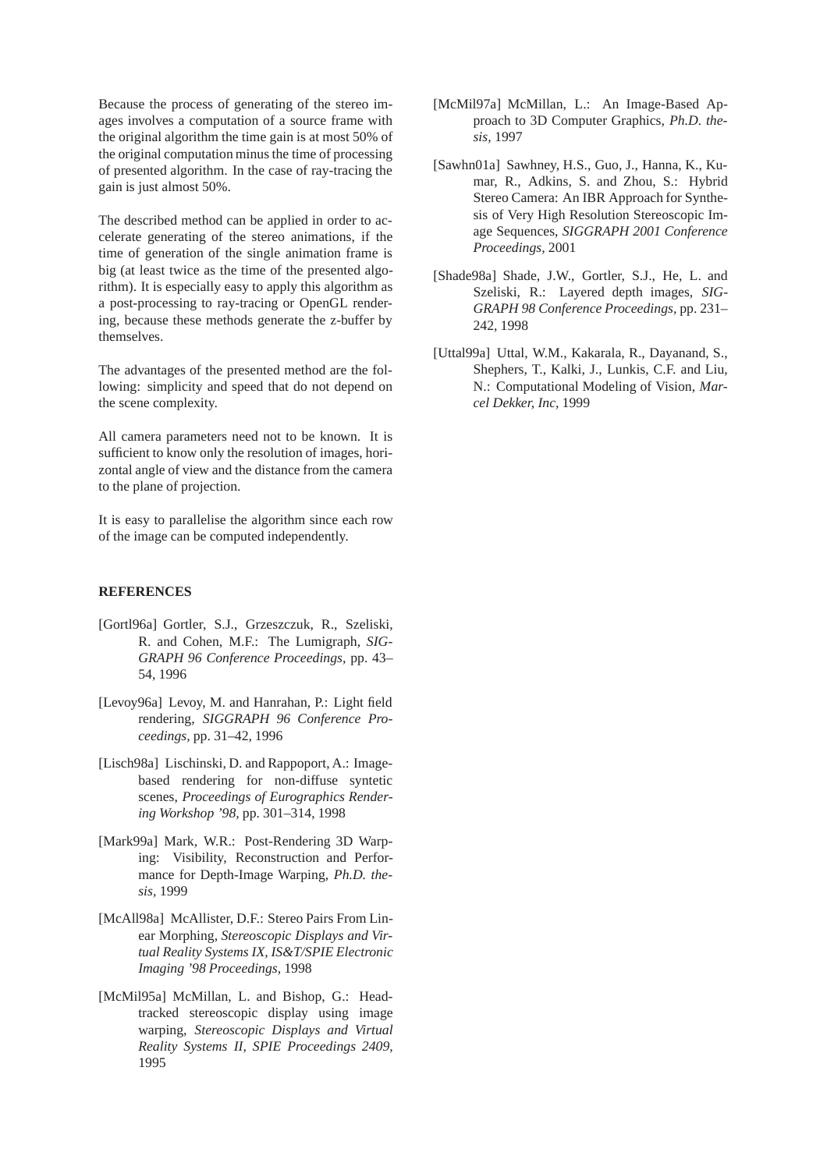Because the process of generating of the stereo images involves a computation of a source frame with the original algorithm the time gain is at most 50% of the original computation minus the time of processing of presented algorithm. In the case of ray-tracing the gain is just almost 50%.

The described method can be applied in order to accelerate generating of the stereo animations, if the time of generation of the single animation frame is big (at least twice as the time of the presented algorithm). It is especially easy to apply this algorithm as a post-processing to ray-tracing or OpenGL rendering, because these methods generate the z-buffer by themselves.

The advantages of the presented method are the following: simplicity and speed that do not depend on the scene complexity.

All camera parameters need not to be known. It is sufficient to know only the resolution of images, horizontal angle of view and the distance from the camera to the plane of projection.

It is easy to parallelise the algorithm since each row of the image can be computed independently.

## **REFERENCES**

- [Gortl96a] Gortler, S.J., Grzeszczuk, R., Szeliski, R. and Cohen, M.F.: The Lumigraph, *SIG-GRAPH 96 Conference Proceedings,* pp. 43– 54, 1996
- [Levoy96a] Levoy, M. and Hanrahan, P.: Light field rendering, *SIGGRAPH 96 Conference Proceedings,* pp. 31–42, 1996
- [Lisch98a] Lischinski, D. and Rappoport, A.: Imagebased rendering for non-diffuse syntetic scenes, *Proceedings of Eurographics Rendering Workshop '98,* pp. 301–314, 1998
- [Mark99a] Mark, W.R.: Post-Rendering 3D Warping: Visibility, Reconstruction and Performance for Depth-Image Warping, *Ph.D. thesis,* 1999
- [McAll98a] McAllister, D.F.: Stereo Pairs From Linear Morphing, *Stereoscopic Displays and Virtual Reality Systems IX, IS&T/SPIE Electronic Imaging '98 Proceedings,* 1998
- [McMil95a] McMillan, L. and Bishop, G.: Headtracked stereoscopic display using image warping, *Stereoscopic Displays and Virtual Reality Systems II, SPIE Proceedings 2409,* 1995
- [McMil97a] McMillan, L.: An Image-Based Approach to 3D Computer Graphics, *Ph.D. thesis,* 1997
- [Sawhn01a] Sawhney, H.S., Guo, J., Hanna, K., Kumar, R., Adkins, S. and Zhou, S.: Hybrid Stereo Camera: An IBR Approach for Synthesis of Very High Resolution Stereoscopic Image Sequences, *SIGGRAPH 2001 Conference Proceedings,* 2001
- [Shade98a] Shade, J.W., Gortler, S.J., He, L. and Szeliski, R.: Layered depth images, *SIG-GRAPH 98 Conference Proceedings,* pp. 231– 242, 1998
- [Uttal99a] Uttal, W.M., Kakarala, R., Dayanand, S., Shephers, T., Kalki, J., Lunkis, C.F. and Liu, N.: Computational Modeling of Vision, *Marcel Dekker, Inc,* 1999